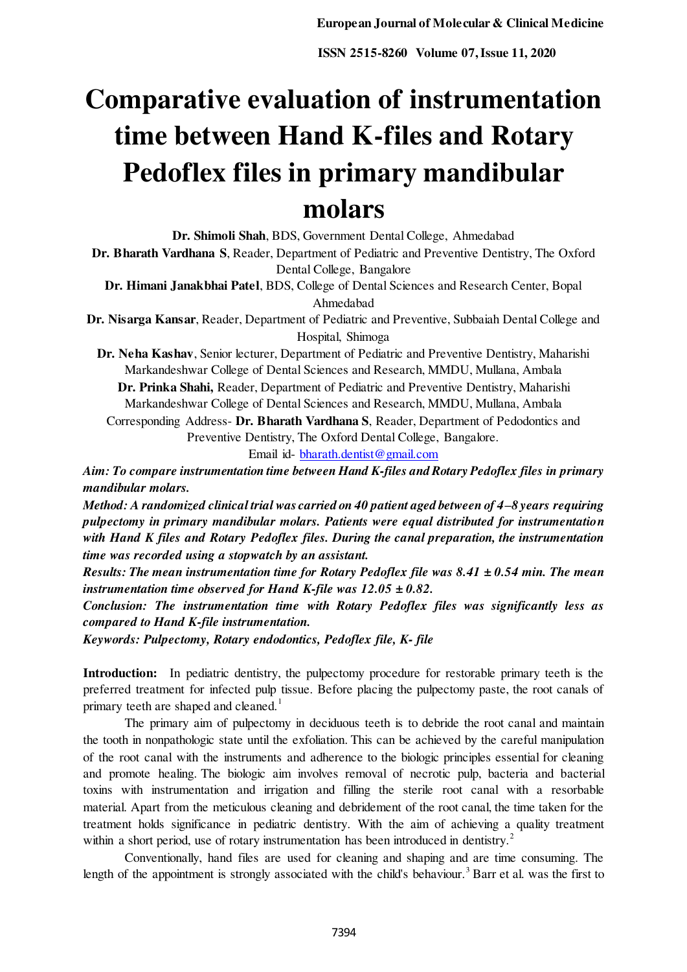# **Comparative evaluation of instrumentation time between Hand K-files and Rotary Pedoflex files in primary mandibular molars**

**Dr. Shimoli Shah**, BDS, Government Dental College, Ahmedabad

**Dr. Bharath Vardhana S**, Reader, Department of Pediatric and Preventive Dentistry, The Oxford Dental College, Bangalore

**Dr. Himani Janakbhai Patel**, BDS, College of Dental Sciences and Research Center, Bopal Ahmedabad

**Dr. Nisarga Kansar**, Reader, Department of Pediatric and Preventive, Subbaiah Dental College and Hospital, Shimoga

**Dr. Neha Kashav**, Senior lecturer, Department of Pediatric and Preventive Dentistry, Maharishi Markandeshwar College of Dental Sciences and Research, MMDU, Mullana, Ambala

**Dr. Prinka Shahi,** Reader, Department of Pediatric and Preventive Dentistry, Maharishi Markandeshwar College of Dental Sciences and Research, MMDU, Mullana, Ambala

Corresponding Address- **Dr. Bharath Vardhana S**, Reader, Department of Pedodontics and Preventive Dentistry, The Oxford Dental College, Bangalore.

Email id[- bharath.dentist@gmail.com](mailto:bharath.dentist@gmail.com)

*Aim: To compare instrumentation time between Hand K-files and Rotary Pedoflex files in primary mandibular molars.* 

*Method: A randomized clinical trial was carried on 40 patient aged between of 4–8 years requiring pulpectomy in primary mandibular molars. Patients were equal distributed for instrumentation with Hand K files and Rotary Pedoflex files. During the canal preparation, the instrumentation time was recorded using a stopwatch by an assistant.* 

*Results: The mean instrumentation time for Rotary Pedoflex file was 8.41 ± 0.54 min. The mean instrumentation time observed for Hand K-file was 12.05 ± 0.82.* 

*Conclusion: The instrumentation time with Rotary Pedoflex files was significantly less as compared to Hand K-file instrumentation.* 

*Keywords: Pulpectomy, Rotary endodontics, Pedoflex file, K- file* 

**Introduction:** In pediatric dentistry, the pulpectomy procedure for restorable primary teeth is the preferred treatment for infected pulp tissue. Before placing the pulpectomy paste, the root canals of primary teeth are shaped and cleaned.<sup>1</sup>

 The primary aim of pulpectomy in deciduous teeth is to debride the root canal and maintain the tooth in nonpathologic state until the exfoliation. This can be achieved by the careful manipulation of the root canal with the instruments and adherence to the biologic principles essential for cleaning and promote healing. The biologic aim involves removal of necrotic pulp, bacteria and bacterial toxins with instrumentation and irrigation and filling the sterile root canal with a resorbable material. Apart from the meticulous cleaning and debridement of the root canal, the time taken for the treatment holds significance in pediatric dentistry. With the aim of achieving a quality treatment within a short period, use of rotary instrumentation has been introduced in dentistry.<sup>2</sup>

 Conventionally, hand files are used for cleaning and shaping and are time consuming. The length of the appointment is strongly associated with the child's behaviour.<sup>3</sup> Barr et al. was the first to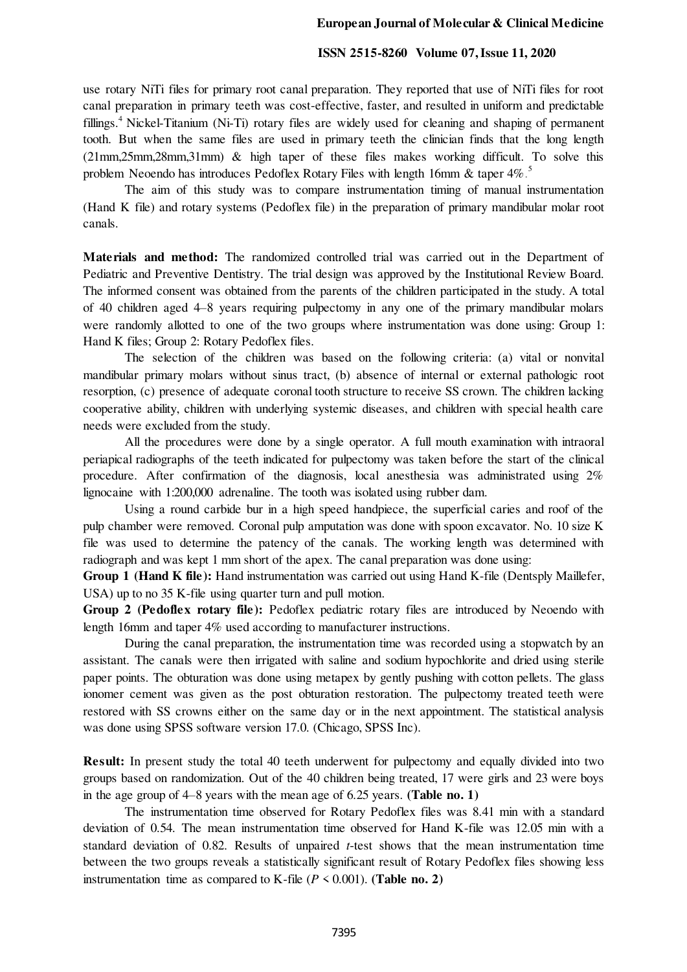#### **European Journal of Molecular & Clinical Medicine**

### **ISSN 2515-8260 Volume 07, Issue 11, 2020**

use rotary NiTi files for primary root canal preparation. They reported that use of NiTi files for root canal preparation in primary teeth was cost-effective, faster, and resulted in uniform and predictable fillings.<sup>4</sup> Nickel-Titanium (Ni-Ti) rotary files are widely used for cleaning and shaping of permanent tooth. But when the same files are used in primary teeth the clinician finds that the long length (21mm,25mm,28mm,31mm) & high taper of these files makes working difficult. To solve this problem Neoendo has introduces Pedoflex Rotary Files with length 16mm & taper 4%.<sup>5</sup>

 The aim of this study was to compare instrumentation timing of manual instrumentation (Hand K file) and rotary systems (Pedoflex file) in the preparation of primary mandibular molar root canals.

**Materials and method:** The randomized controlled trial was carried out in the Department of Pediatric and Preventive Dentistry. The trial design was approved by the Institutional Review Board. The informed consent was obtained from the parents of the children participated in the study. A total of 40 children aged 4–8 years requiring pulpectomy in any one of the primary mandibular molars were randomly allotted to one of the two groups where instrumentation was done using: Group 1: Hand K files; Group 2: Rotary Pedoflex files.

 The selection of the children was based on the following criteria: (a) vital or nonvital mandibular primary molars without sinus tract, (b) absence of internal or external pathologic root resorption, (c) presence of adequate coronal tooth structure to receive SS crown. The children lacking cooperative ability, children with underlying systemic diseases, and children with special health care needs were excluded from the study.

 All the procedures were done by a single operator. A full mouth examination with intraoral periapical radiographs of the teeth indicated for pulpectomy was taken before the start of the clinical procedure. After confirmation of the diagnosis, local anesthesia was administrated using 2% lignocaine with 1:200,000 adrenaline. The tooth was isolated using rubber dam.

 Using a round carbide bur in a high speed handpiece, the superficial caries and roof of the pulp chamber were removed. Coronal pulp amputation was done with spoon excavator. No. 10 size K file was used to determine the patency of the canals. The working length was determined with radiograph and was kept 1 mm short of the apex. The canal preparation was done using:

**Group 1 (Hand K file):** Hand instrumentation was carried out using Hand K-file (Dentsply Maillefer, USA) up to no 35 K-file using quarter turn and pull motion.

**Group 2 (Pedoflex rotary file):** Pedoflex pediatric rotary files are introduced by Neoendo with length 16mm and taper 4% used according to manufacturer instructions.

 During the canal preparation, the instrumentation time was recorded using a stopwatch by an assistant. The canals were then irrigated with saline and sodium hypochlorite and dried using sterile paper points. The obturation was done using metapex by gently pushing with cotton pellets. The glass ionomer cement was given as the post obturation restoration. The pulpectomy treated teeth were restored with SS crowns either on the same day or in the next appointment. The statistical analysis was done using SPSS software version 17.0. (Chicago, SPSS Inc).

**Result:** In present study the total 40 teeth underwent for pulpectomy and equally divided into two groups based on randomization. Out of the 40 children being treated, 17 were girls and 23 were boys in the age group of 4–8 years with the mean age of 6.25 years. **(Table no. 1)** 

 The instrumentation time observed for Rotary Pedoflex files was 8.41 min with a standard deviation of 0.54. The mean instrumentation time observed for Hand K-file was 12.05 min with a standard deviation of 0.82. Results of unpaired *t*-test shows that the mean instrumentation time between the two groups reveals a statistically significant result of Rotary Pedoflex files showing less instrumentation time as compared to K-file  $(P \le 0.001)$ . (**Table no. 2**)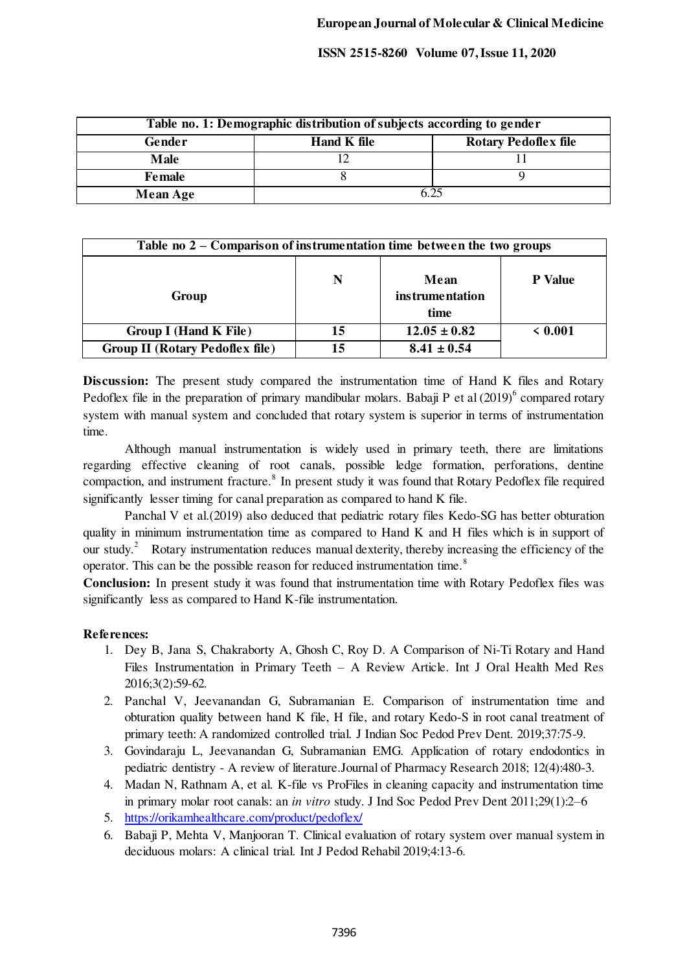**ISSN 2515-8260 Volume 07, Issue 11, 2020**

| Table no. 1: Demographic distribution of subjects according to gender |             |                             |  |
|-----------------------------------------------------------------------|-------------|-----------------------------|--|
| Gender                                                                | Hand K file | <b>Rotary Pedoflex file</b> |  |
| <b>Male</b>                                                           |             |                             |  |
| Female                                                                |             |                             |  |
| <b>Mean Age</b>                                                       | 6.25        |                             |  |

| Table no $2$ – Comparison of instrumentation time between the two groups |    |                                        |                |
|--------------------------------------------------------------------------|----|----------------------------------------|----------------|
| Group                                                                    | N  | Mean<br><i>instrumentation</i><br>time | <b>P</b> Value |
| Group I (Hand K File)                                                    | 15 | $12.05 \pm 0.82$                       | < 0.001        |
| <b>Group II (Rotary Pedoflex file)</b>                                   | 15 | $8.41 \pm 0.54$                        |                |

**Discussion:** The present study compared the instrumentation time of Hand K files and Rotary Pedoflex file in the preparation of primary mandibular molars. Babaji P et al  $(2019)^6$  compared rotary system with manual system and concluded that rotary system is superior in terms of instrumentation time.

 Although manual instrumentation is widely used in primary teeth, there are limitations regarding effective cleaning of root canals, possible ledge formation, perforations, dentine compaction, and instrument fracture.<sup>8</sup> In present study it was found that Rotary Pedoflex file required significantly lesser timing for canal preparation as compared to hand K file.

 Panchal V et al.(2019) also deduced that pediatric rotary files Kedo-SG has better obturation quality in minimum instrumentation time as compared to Hand K and H files which is in support of our study.<sup>2</sup> Rotary instrumentation reduces manual dexterity, thereby increasing the efficiency of the operator. This can be the possible reason for reduced instrumentation time.<sup>8</sup>

**Conclusion:** In present study it was found that instrumentation time with Rotary Pedoflex files was significantly less as compared to Hand K-file instrumentation.

## **References:**

- 1. Dey B, Jana S, Chakraborty A, Ghosh C, Roy D. A Comparison of Ni-Ti Rotary and Hand Files Instrumentation in Primary Teeth – A Review Article. Int J Oral Health Med Res 2016;3(2):59-62*.*
- 2. Panchal V, Jeevanandan G, Subramanian E. Comparison of instrumentation time and obturation quality between hand K file, H file, and rotary Kedo-S in root canal treatment of primary teeth: A randomized controlled trial. J Indian Soc Pedod Prev Dent. 2019;37:75-9.
- 3. Govindaraju L, Jeevanandan G, Subramanian EMG. Application of rotary endodontics in pediatric dentistry - A review of literature.Journal of Pharmacy Research 2018; 12(4):480-3.
- 4. Madan N, Rathnam A, et al. K-file vs ProFiles in cleaning capacity and instrumentation time in primary molar root canals: an *in vitro* study. J Ind Soc Pedod Prev Dent 2011;29(1):2–6
- 5. <https://orikamhealthcare.com/product/pedoflex/>
- 6. Babaji P, Mehta V, Manjooran T. Clinical evaluation of rotary system over manual system in deciduous molars: A clinical trial. Int J Pedod Rehabil 2019;4:13-6.